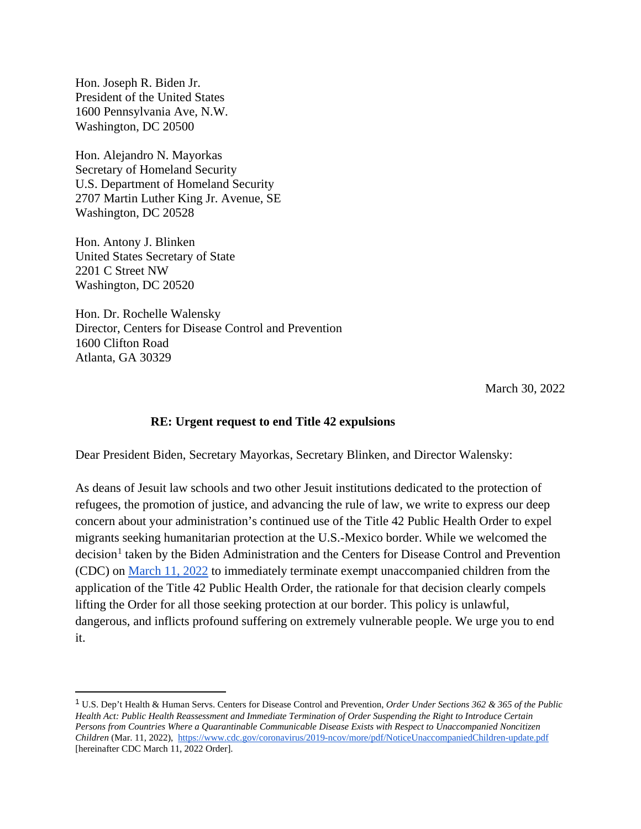Hon. Joseph R. Biden Jr. President of the United States 1600 Pennsylvania Ave, N.W. Washington, DC 20500

Hon. Alejandro N. Mayorkas Secretary of Homeland Security U.S. Department of Homeland Security 2707 Martin Luther King Jr. Avenue, SE Washington, DC 20528

Hon. Antony J. Blinken United States Secretary of State 2201 C Street NW Washington, DC 20520

Hon. Dr. Rochelle Walensky Director, Centers for Disease Control and Prevention 1600 Clifton Road Atlanta, GA 30329

March 30, 2022

## **RE: Urgent request to end Title 42 expulsions**

Dear President Biden, Secretary Mayorkas, Secretary Blinken, and Director Walensky:

As deans of Jesuit law schools and two other Jesuit institutions dedicated to the protection of refugees, the promotion of justice, and advancing the rule of law, we write to express our deep concern about your administration's continued use of the Title 42 Public Health Order to expel migrants seeking humanitarian protection at the U.S.-Mexico border. While we welcomed the decision<sup>[1](#page-0-0)</sup> taken by the Biden Administration and the Centers for Disease Control and Prevention (CDC) on [March 11, 2022](https://www.cdc.gov/coronavirus/2019-ncov/more/pdf/NoticeUnaccompaniedChildren-update.pdf) to immediately terminate exempt unaccompanied children from the application of the Title 42 Public Health Order, the rationale for that decision clearly compels lifting the Order for all those seeking protection at our border. This policy is unlawful, dangerous, and inflicts profound suffering on extremely vulnerable people. We urge you to end it.

<span id="page-0-0"></span> <sup>1</sup> U.S. Dep't Health & Human Servs. Centers for Disease Control and Prevention, *Order Under Sections 362 & 365 of the Public Health Act: Public Health Reassessment and Immediate Termination of Order Suspending the Right to Introduce Certain Persons from Countries Where a Quarantinable Communicable Disease Exists with Respect to Unaccompanied Noncitizen Children* (Mar. 11, 2022), <https://www.cdc.gov/coronavirus/2019-ncov/more/pdf/NoticeUnaccompaniedChildren-update.pdf> [hereinafter CDC March 11, 2022 Order].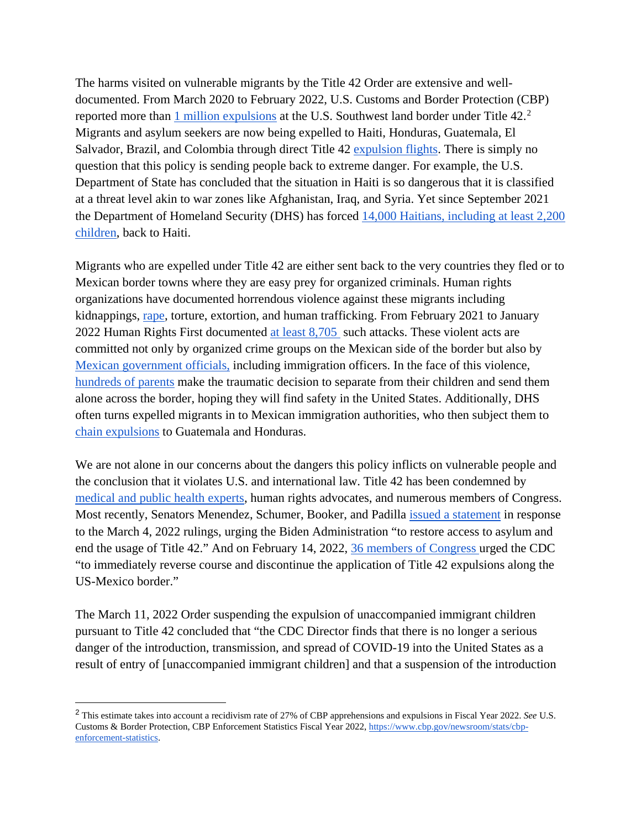The harms visited on vulnerable migrants by the Title 42 Order are extensive and welldocumented. From March 2020 to February 2022, U.S. Customs and Border Protection (CBP) reported more than [1 million expulsions](https://www.cbp.gov/newsroom/stats/nationwide-encounters) at the U.S. Southwest land border under Title 4[2](#page-1-0).<sup>2</sup> Migrants and asylum seekers are now being expelled to Haiti, Honduras, Guatemala, El Salvador, Brazil, and Colombia through direct Title 42 [expulsion flights.](https://static1.squarespace.com/static/5e221cacff87ba2d2833cf54/t/620bca5024c170434085cfb6/1644939857305/ICE+Air+Jan+2022Fv2THCPDF.pdf) There is simply no question that this policy is sending people back to extreme danger. For example, the U.S. Department of State has concluded that the situation in Haiti is so dangerous that it is classified at a threat level akin to war zones like Afghanistan, Iraq, and Syria. Yet since September 2021 the Department of Homeland Security (DHS) has forced [14,000 Haitians, including at least 2,200](https://www.humanrightsfirst.org/sites/default/files/ShamefulRecord.pdf)  [children,](https://www.humanrightsfirst.org/sites/default/files/ShamefulRecord.pdf) back to Haiti.

Migrants who are expelled under Title 42 are either sent back to the very countries they fled or to Mexican border towns where they are easy prey for organized criminals. Human rights organizations have documented horrendous violence against these migrants including kidnappings, [rape,](https://myrgv.com/featured/2021/10/01/lights-out-electricity-shut-down-at-reynosa-migrant-encampment/) torture, extortion, and human trafficking. From February 2021 to January 2022 Human Rights First documented [at least 8,705](https://www.humanrightsfirst.org/resource/shameful-record-biden-administration-s-use-trump-policies-endangers-people-seeking-asylum) such attacks. These violent acts are committed not only by organized crime groups on the Mexican side of the border but also by [Mexican government officials,](https://www.humanrightsfirst.org/sites/default/files/IllegalandInhumane.pdf) [including](https://www.humanrightsfirst.org/sites/default/files/IllegalandInhumane.pdf) immigration officers. In the face of this violence, [hundreds of parents](https://www.americanimmigrationcouncil.org/sites/default/files/research/title_42_expulsions_at_the_border.pdf) make the traumatic decision to separate from their children and send them alone across the border, hoping they will find safety in the United States. Additionally, DHS often turns expelled migrants in to Mexican immigration authorities, who then subject them to [chain expulsions](https://www.humanrightsfirst.org/sites/default/files/IllegalandInhumane.pdf) to Guatemala and Honduras.

We are not alone in our concerns about the dangers this policy inflicts on vulnerable people and the conclusion that it violates U.S. and international law. Title 42 has been condemned by [medical and public health experts,](https://www.publichealth.columbia.edu/research/program-forced-migration-and-health/epidemiologists-and-public-health-experts-reiterate-urgent-call-end-title-42) human rights advocates, and numerous members of Congress. Most recently, Senators Menendez, Schumer, Booker, and Padilla [issued a statement](https://twitter.com/camiloreports/status/1500117410497638404?s=11) in response to the March 4, 2022 rulings, urging the Biden Administration "to restore access to asylum and end the usage of Title 42." And on February 14, 2022, [36 members of Congress u](https://pressley.house.gov/sites/pressley.house.gov/files/Letter%20to%20CDC%20re%20Title%2042%20Expulsions.pdf)rged the CDC "to immediately reverse course and discontinue the application of Title 42 expulsions along the US-Mexico border."

The March 11, 2022 Order suspending the expulsion of unaccompanied immigrant children pursuant to Title 42 concluded that "the CDC Director finds that there is no longer a serious danger of the introduction, transmission, and spread of COVID-19 into the United States as a result of entry of [unaccompanied immigrant children] and that a suspension of the introduction

<span id="page-1-0"></span> <sup>2</sup> This estimate takes into account a recidivism rate of 27% of CBP apprehensions and expulsions in Fiscal Year 2022. *See* U.S. Customs & Border Protection, CBP Enforcement Statistics Fiscal Year 2022[, https://www.cbp.gov/newsroom/stats/cbp](https://www.cbp.gov/newsroom/stats/cbp-enforcement-statistics)[enforcement-statistics.](https://www.cbp.gov/newsroom/stats/cbp-enforcement-statistics)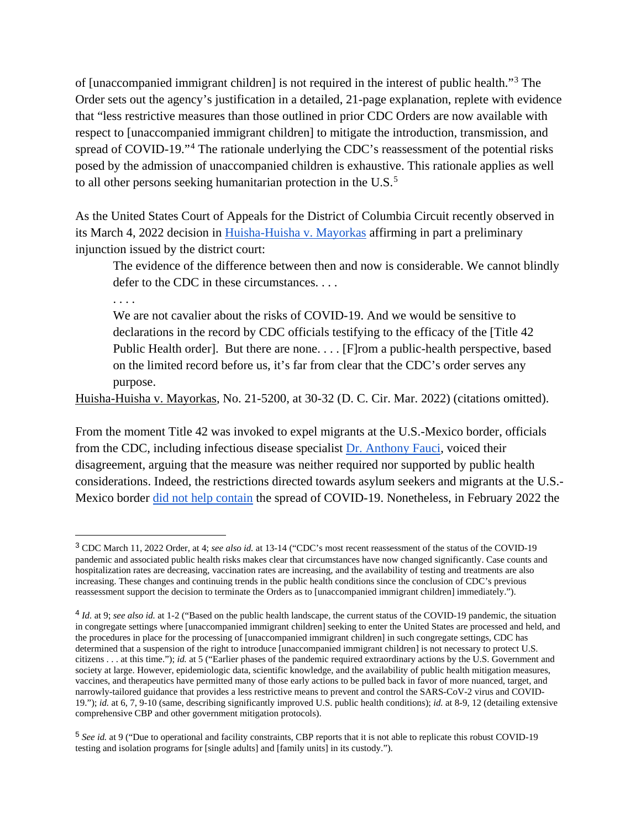of [unaccompanied immigrant children] is not required in the interest of public health."[3](#page-2-0) The Order sets out the agency's justification in a detailed, 21-page explanation, replete with evidence that "less restrictive measures than those outlined in prior CDC Orders are now available with respect to [unaccompanied immigrant children] to mitigate the introduction, transmission, and spread of COVID-19."<sup>[4](#page-2-1)</sup> The rationale underlying the CDC's reassessment of the potential risks posed by the admission of unaccompanied children is exhaustive. This rationale applies as well to all other persons seeking humanitarian protection in the U.S.<sup>[5](#page-2-2)</sup>

As the United States Court of Appeals for the District of Columbia Circuit recently observed in its March 4, 2022 decision in [Huisha-Huisha v. Mayorkas](https://www.cadc.uscourts.gov/internet/opinions.nsf/F6289C9DDB487716852587FB00546E14/$file/21-5200-1937710.pdf) affirming in part a preliminary injunction issued by the district court:

The evidence of the difference between then and now is considerable. We cannot blindly defer to the CDC in these circumstances. . . .

. . . .

We are not cavalier about the risks of COVID-19. And we would be sensitive to declarations in the record by CDC officials testifying to the efficacy of the [Title 42 Public Health order]. But there are none. . . . [F]rom a public-health perspective, based on the limited record before us, it's far from clear that the CDC's order serves any purpose.

Huisha-Huisha v. Mayorkas, No. 21-5200, at 30-32 (D. C. Cir. Mar. 2022) (citations omitted).

From the moment Title 42 was invoked to expel migrants at the U.S.-Mexico border, officials from the CDC, including infectious disease specialist [Dr. Anthony Fauci,](https://www.forbes.com/sites/alisondurkee/2021/10/03/fauci-says-immigrants-are-absolutely-not-driving-covid-19-surge-lets-face-reality-here/?sh=62df7639173d) voiced their disagreement, arguing that the measure was neither required nor supported by public health considerations. Indeed, the restrictions directed towards asylum seekers and migrants at the U.S.- Mexico border [did not help contain](https://thehill.com/opinion/immigration/578777-heres-why-we-should-end-pandemic-migration-restrictions) the spread of COVID-19. Nonetheless, in February 2022 the

<span id="page-2-0"></span> <sup>3</sup> [CDC March 11, 2022 Order,](https://www.cdc.gov/coronavirus/2019-ncov/more/pdf/NoticeUnaccompaniedChildren-update.pdf) at 4; *see also id.* at 13-14 ("CDC's most recent reassessment of the status of the COVID-19 pandemic and associated public health risks makes clear that circumstances have now changed significantly. Case counts and hospitalization rates are decreasing, vaccination rates are increasing, and the availability of testing and treatments are also increasing. These changes and continuing trends in the public health conditions since the conclusion of CDC's previous reassessment support the decision to terminate the Orders as to [unaccompanied immigrant children] immediately.").

<span id="page-2-1"></span><sup>4</sup> *Id.* at 9; *see also id.* at 1-2 ("Based on the public health landscape, the current status of the COVID-19 pandemic, the situation in congregate settings where [unaccompanied immigrant children] seeking to enter the United States are processed and held, and the procedures in place for the processing of [unaccompanied immigrant children] in such congregate settings, CDC has determined that a suspension of the right to introduce [unaccompanied immigrant children] is not necessary to protect U.S. citizens . . . at this time."); *id.* at 5 ("Earlier phases of the pandemic required extraordinary actions by the U.S. Government and society at large. However, epidemiologic data, scientific knowledge, and the availability of public health mitigation measures, vaccines, and therapeutics have permitted many of those early actions to be pulled back in favor of more nuanced, target, and narrowly-tailored guidance that provides a less restrictive means to prevent and control the SARS-CoV-2 virus and COVID-19."); *id.* at 6, 7, 9-10 (same, describing significantly improved U.S. public health conditions); *id.* at 8-9, 12 (detailing extensive comprehensive CBP and other government mitigation protocols).

<span id="page-2-2"></span><sup>5</sup> *See id.* at 9 ("Due to operational and facility constraints, CBP reports that it is not able to replicate this robust COVID-19 testing and isolation programs for [single adults] and [family units] in its custody.").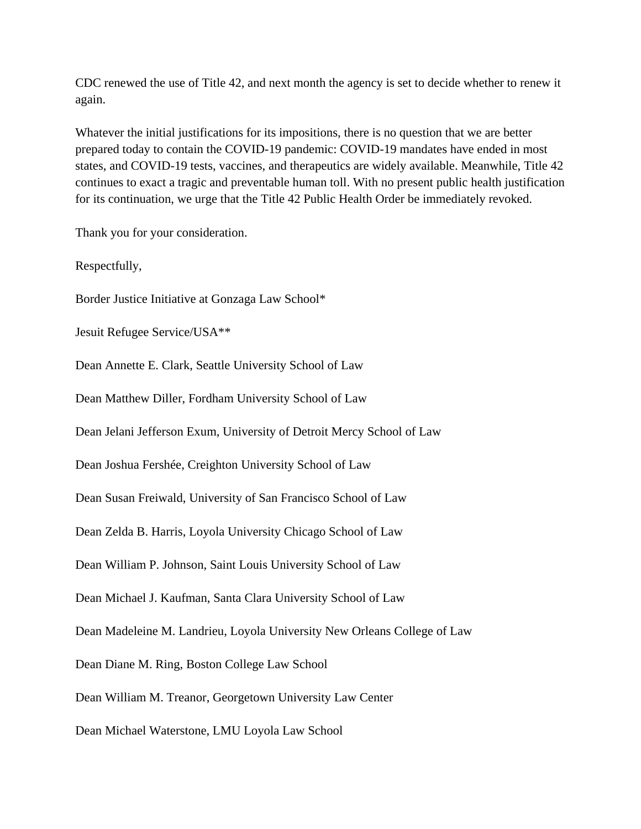CDC renewed the use of Title 42, and next month the agency is set to decide whether to renew it again.

Whatever the initial justifications for its impositions, there is no question that we are better prepared today to contain the COVID-19 pandemic: COVID-19 mandates have ended in most states, and COVID-19 tests, vaccines, and therapeutics are widely available. Meanwhile, Title 42 continues to exact a tragic and preventable human toll. With no present public health justification for its continuation, we urge that the Title 42 Public Health Order be immediately revoked.

Thank you for your consideration.

Respectfully,

Border Justice Initiative at Gonzaga Law School\*

Jesuit Refugee Service/USA\*\*

Dean Annette E. Clark, Seattle University School of Law

Dean Matthew Diller, Fordham University School of Law

Dean Jelani Jefferson Exum, University of Detroit Mercy School of Law

Dean Joshua Fershée, Creighton University School of Law

Dean Susan Freiwald, University of San Francisco School of Law

Dean Zelda B. Harris, Loyola University Chicago School of Law

Dean William P. Johnson, Saint Louis University School of Law

Dean Michael J. Kaufman, Santa Clara University School of Law

Dean Madeleine M. Landrieu, Loyola University New Orleans College of Law

Dean Diane M. Ring, Boston College Law School

Dean William M. Treanor, Georgetown University Law Center

Dean Michael Waterstone, LMU Loyola Law School